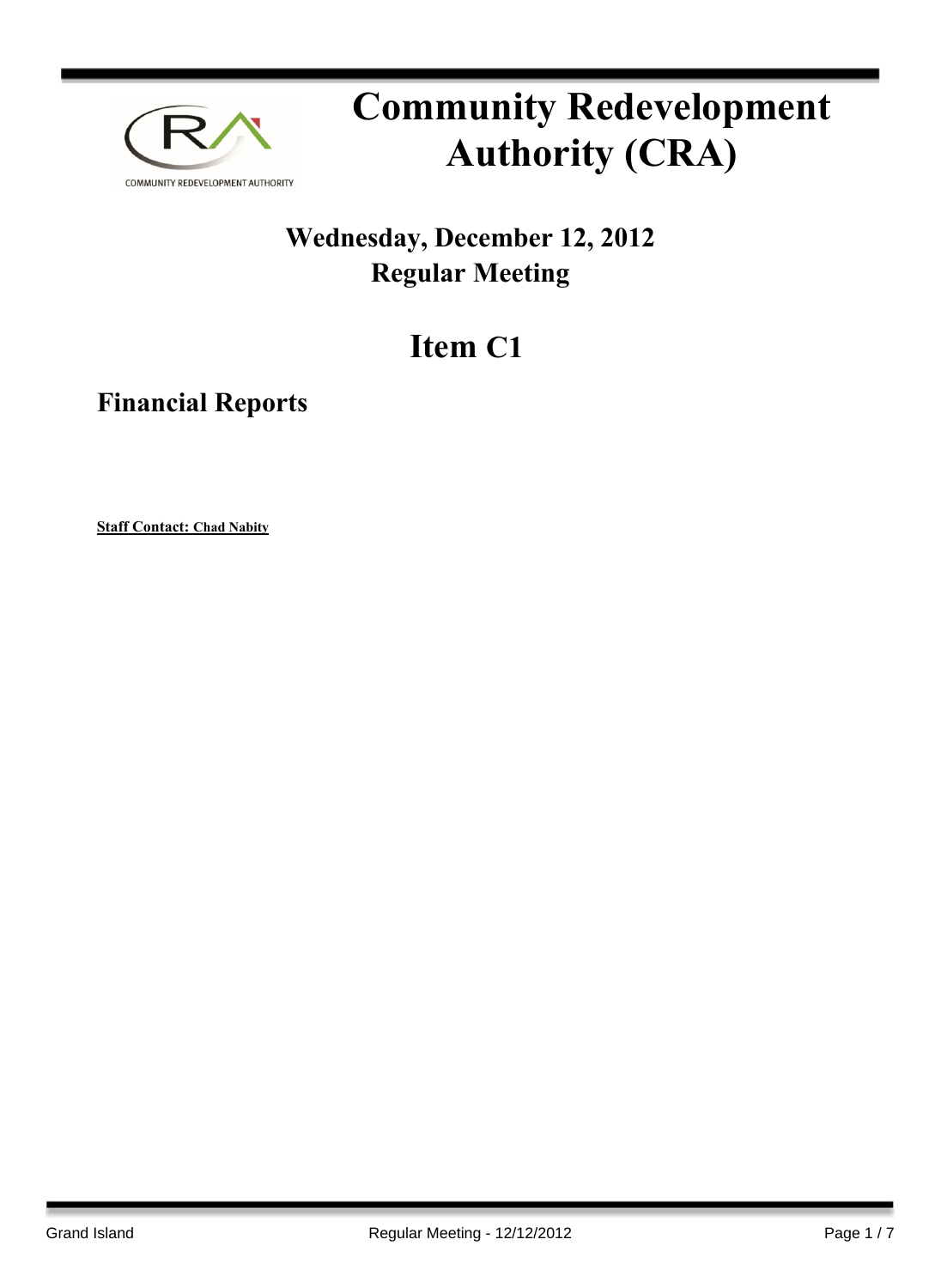

# **Community Redevelopment Authority (CRA)**

### **Wednesday, December 12, 2012 Regular Meeting**

## **Item C1**

**Financial Reports**

**Staff Contact: Chad Nabity**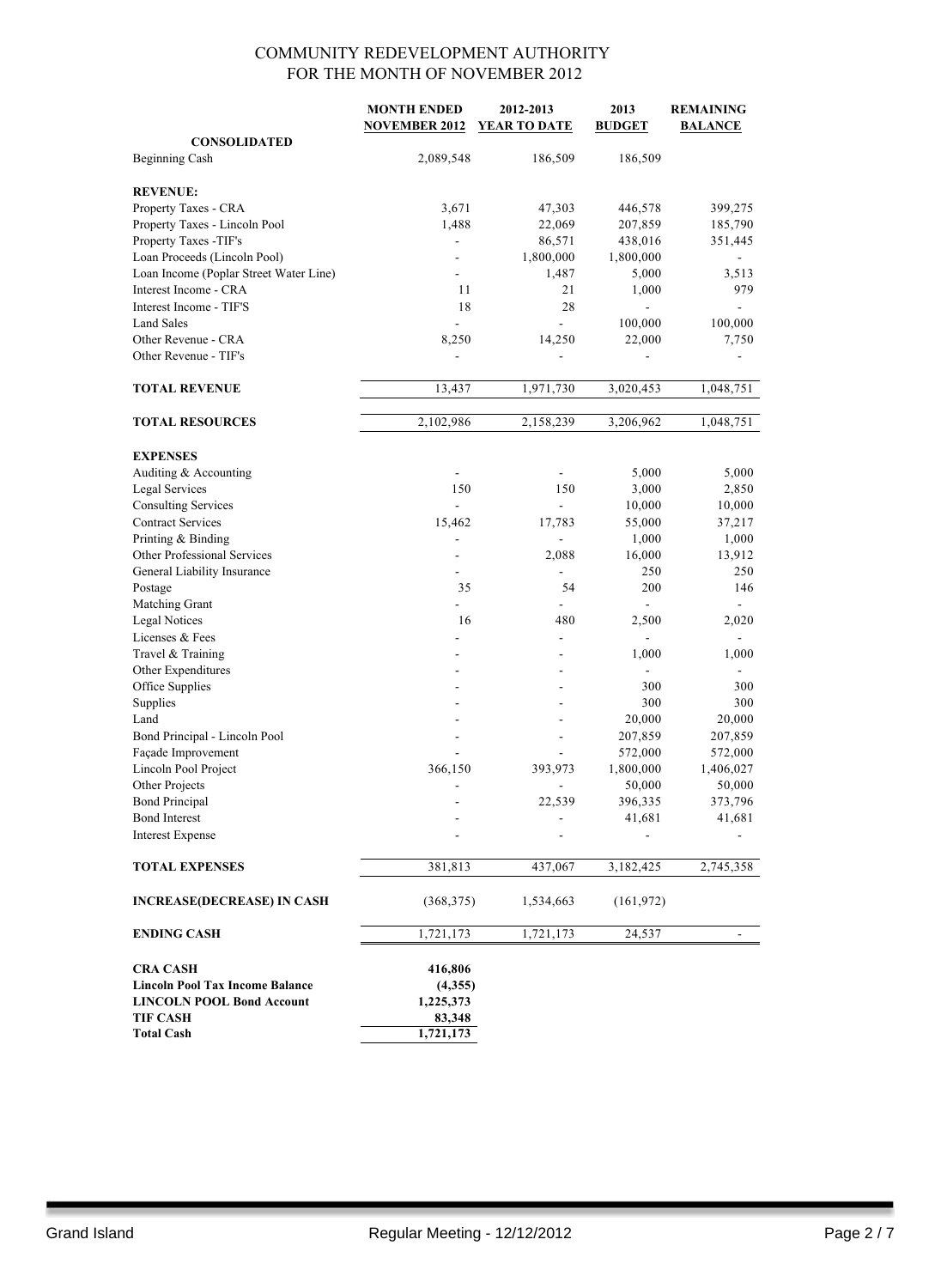|                                        | <b>MONTH ENDED</b><br><b>NOVEMBER 2012</b> | 2012-2013<br>YEAR TO DATE | 2013<br><b>BUDGET</b> | <b>REMAINING</b><br><b>BALANCE</b> |
|----------------------------------------|--------------------------------------------|---------------------------|-----------------------|------------------------------------|
| <b>CONSOLIDATED</b>                    |                                            |                           |                       |                                    |
| Beginning Cash                         | 2,089,548                                  | 186,509                   | 186,509               |                                    |
|                                        |                                            |                           |                       |                                    |
| <b>REVENUE:</b>                        |                                            |                           |                       |                                    |
| Property Taxes - CRA                   | 3,671                                      | 47,303                    | 446,578               | 399,275                            |
| Property Taxes - Lincoln Pool          | 1,488                                      | 22,069                    | 207,859               | 185,790                            |
| Property Taxes -TIF's                  |                                            | 86,571                    | 438,016               | 351,445                            |
| Loan Proceeds (Lincoln Pool)           |                                            | 1,800,000                 | 1,800,000             |                                    |
| Loan Income (Poplar Street Water Line) |                                            | 1,487                     | 5,000                 | 3,513                              |
| Interest Income - CRA                  | 11                                         | 21                        | 1,000                 | 979                                |
| Interest Income - TIF'S                | 18                                         | 28                        | $\overline{a}$        | $\overline{\phantom{a}}$           |
| Land Sales                             |                                            | -                         | 100,000               | 100,000                            |
| Other Revenue - CRA                    | 8,250                                      | 14,250                    | 22,000                | 7,750                              |
| Other Revenue - TIF's                  |                                            |                           |                       |                                    |
|                                        |                                            |                           |                       |                                    |
| <b>TOTAL REVENUE</b>                   | 13,437                                     | 1,971,730                 | 3,020,453             | 1,048,751                          |
| <b>TOTAL RESOURCES</b>                 | 2,102,986                                  | 2,158,239                 | 3,206,962             | 1,048,751                          |
|                                        |                                            |                           |                       |                                    |
| <b>EXPENSES</b>                        |                                            |                           |                       |                                    |
| Auditing & Accounting                  | $\overline{\phantom{a}}$                   | $\overline{\phantom{a}}$  | 5,000                 | 5,000                              |
| <b>Legal Services</b>                  | 150                                        | 150                       | 3,000                 | 2,850                              |
| <b>Consulting Services</b>             | $\blacksquare$                             | $\blacksquare$            | 10,000                | 10,000                             |
| <b>Contract Services</b>               | 15,462                                     | 17,783                    | 55,000                | 37,217                             |
| Printing & Binding                     | $\blacksquare$                             |                           | 1,000                 | 1,000                              |
| Other Professional Services            | ۰                                          | 2,088                     | 16,000<br>250         | 13,912<br>250                      |
| General Liability Insurance<br>Postage | 35                                         | 54                        | 200                   | 146                                |
| Matching Grant                         |                                            |                           | $\overline{a}$        |                                    |
| <b>Legal Notices</b>                   | 16                                         | 480                       | 2,500                 | 2,020                              |
| Licenses & Fees                        |                                            | $\frac{1}{2}$             | $\overline{a}$        | $\overline{\phantom{0}}$           |
| Travel & Training                      |                                            |                           | 1,000                 | 1,000                              |
| Other Expenditures                     |                                            |                           | ä,                    |                                    |
| Office Supplies                        |                                            |                           | 300                   | 300                                |
| Supplies                               | ٠                                          | $\overline{a}$            | 300                   | 300                                |
| Land                                   |                                            |                           | 20,000                | 20,000                             |
| Bond Principal - Lincoln Pool          |                                            |                           | 207,859               | 207,859                            |
| Façade Improvement                     |                                            |                           | 572,000               | 572,000                            |
| Lincoln Pool Project                   | 366,150                                    | 393,973                   | 1,800,000             | 1,406,027                          |
| Other Projects                         | $\overline{\phantom{a}}$                   |                           | 50,000                | 50,000                             |
| <b>Bond Principal</b>                  |                                            | 22,539                    | 396,335               | 373,796                            |
| <b>Bond Interest</b>                   |                                            |                           | 41,681                | 41,681                             |
| <b>Interest Expense</b>                |                                            |                           |                       |                                    |
| <b>TOTAL EXPENSES</b>                  | 381,813                                    | 437,067                   | 3,182,425             | 2,745,358                          |
| <b>INCREASE(DECREASE) IN CASH</b>      | (368, 375)                                 | 1,534,663                 | (161, 972)            |                                    |
| <b>ENDING CASH</b>                     | 1,721,173                                  | 1,721,173                 | 24,537                |                                    |
| <b>CRA CASH</b>                        | 416,806                                    |                           |                       |                                    |
| <b>Lincoln Pool Tax Income Balance</b> | (4,355)                                    |                           |                       |                                    |
| <b>LINCOLN POOL Bond Account</b>       | 1,225,373                                  |                           |                       |                                    |
| <b>TIF CASH</b>                        | 83,348                                     |                           |                       |                                    |
| <b>Total Cash</b>                      | 1,721,173                                  |                           |                       |                                    |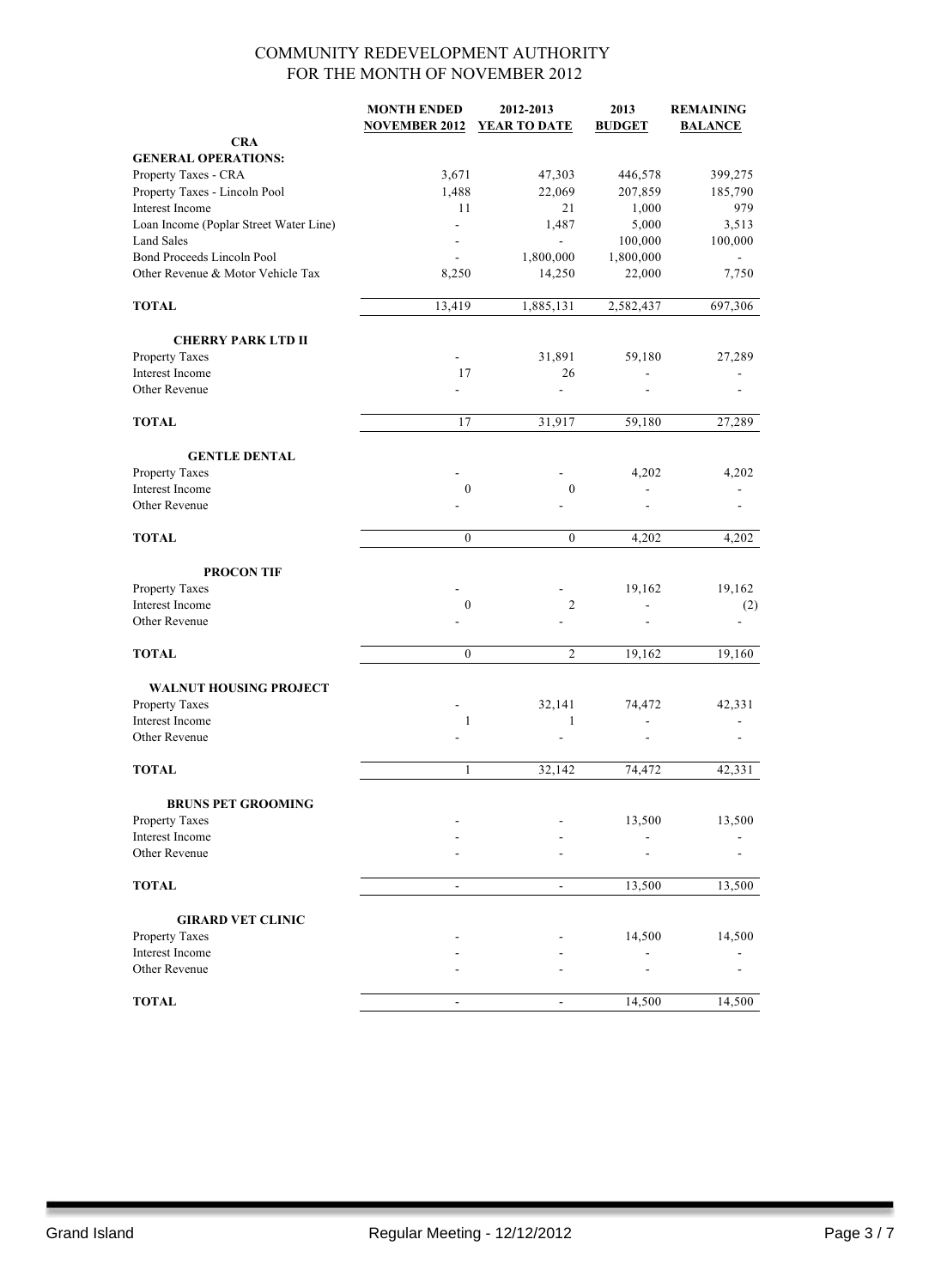|                                        | <b>MONTH ENDED</b>       | 2012-2013                | 2013          | <b>REMAINING</b> |
|----------------------------------------|--------------------------|--------------------------|---------------|------------------|
|                                        | <b>NOVEMBER 2012</b>     | YEAR TO DATE             | <b>BUDGET</b> | <b>BALANCE</b>   |
| <b>CRA</b>                             |                          |                          |               |                  |
| <b>GENERAL OPERATIONS:</b>             |                          |                          |               |                  |
| Property Taxes - CRA                   | 3,671                    | 47,303                   | 446,578       | 399,275          |
| Property Taxes - Lincoln Pool          | 1,488                    | 22,069                   | 207,859       | 185,790          |
| <b>Interest Income</b>                 | 11                       | 21                       | 1,000         | 979              |
| Loan Income (Poplar Street Water Line) | $\overline{\phantom{0}}$ | 1,487                    | 5,000         | 3,513            |
| <b>Land Sales</b>                      |                          | $\overline{\phantom{a}}$ | 100,000       | 100,000          |
| Bond Proceeds Lincoln Pool             |                          | 1,800,000                | 1,800,000     |                  |
| Other Revenue & Motor Vehicle Tax      | 8,250                    | 14,250                   | 22,000        | 7,750            |
| <b>TOTAL</b>                           | 13,419                   | 1,885,131                | 2,582,437     | 697,306          |
| <b>CHERRY PARK LTD II</b>              |                          |                          |               |                  |
| Property Taxes                         |                          | 31,891                   | 59,180        | 27,289           |
| Interest Income                        | 17                       | 26                       |               |                  |
| Other Revenue                          |                          | ä,                       |               |                  |
|                                        |                          |                          |               |                  |
| <b>TOTAL</b>                           | 17                       | 31,917                   | 59,180        | 27,289           |
| <b>GENTLE DENTAL</b>                   |                          |                          |               |                  |
| Property Taxes                         |                          |                          | 4,202         | 4,202            |
| Interest Income                        | $\boldsymbol{0}$         | $\boldsymbol{0}$         |               |                  |
| Other Revenue                          |                          |                          |               |                  |
| <b>TOTAL</b>                           | $\mathbf{0}$             | $\boldsymbol{0}$         | 4,202         | 4,202            |
|                                        |                          |                          |               |                  |
| <b>PROCON TIF</b>                      |                          |                          |               |                  |
| Property Taxes                         |                          |                          | 19,162        | 19,162           |
| Interest Income                        | $\boldsymbol{0}$         | $\overline{2}$           |               | (2)              |
| Other Revenue                          |                          |                          |               |                  |
| <b>TOTAL</b>                           | $\mathbf{0}$             | $\overline{2}$           | 19,162        | 19,160           |
| <b>WALNUT HOUSING PROJECT</b>          |                          |                          |               |                  |
| Property Taxes                         |                          | 32,141                   | 74,472        | 42,331           |
| Interest Income                        | $\mathbf{1}$             | 1                        |               |                  |
| Other Revenue                          |                          |                          |               |                  |
|                                        |                          |                          |               |                  |
| <b>TOTAL</b>                           | 1                        | 32,142                   | 74,472        | 42,331           |
| <b>BRUNS PET GROOMING</b>              |                          |                          |               |                  |
| Property Taxes                         |                          |                          | 13,500        | 13,500           |
| Interest Income                        |                          |                          |               |                  |
| Other Revenue                          |                          |                          |               |                  |
| <b>TOTAL</b>                           |                          | $\blacksquare$           | 13,500        | 13,500           |
| <b>GIRARD VET CLINIC</b>               |                          |                          |               |                  |
| Property Taxes                         |                          |                          | 14,500        | 14,500           |
| Interest Income                        |                          |                          |               |                  |
| Other Revenue                          |                          |                          |               |                  |
|                                        |                          |                          |               |                  |
| <b>TOTAL</b>                           | $\overline{\phantom{0}}$ | $\overline{\phantom{a}}$ | 14,500        | 14,500           |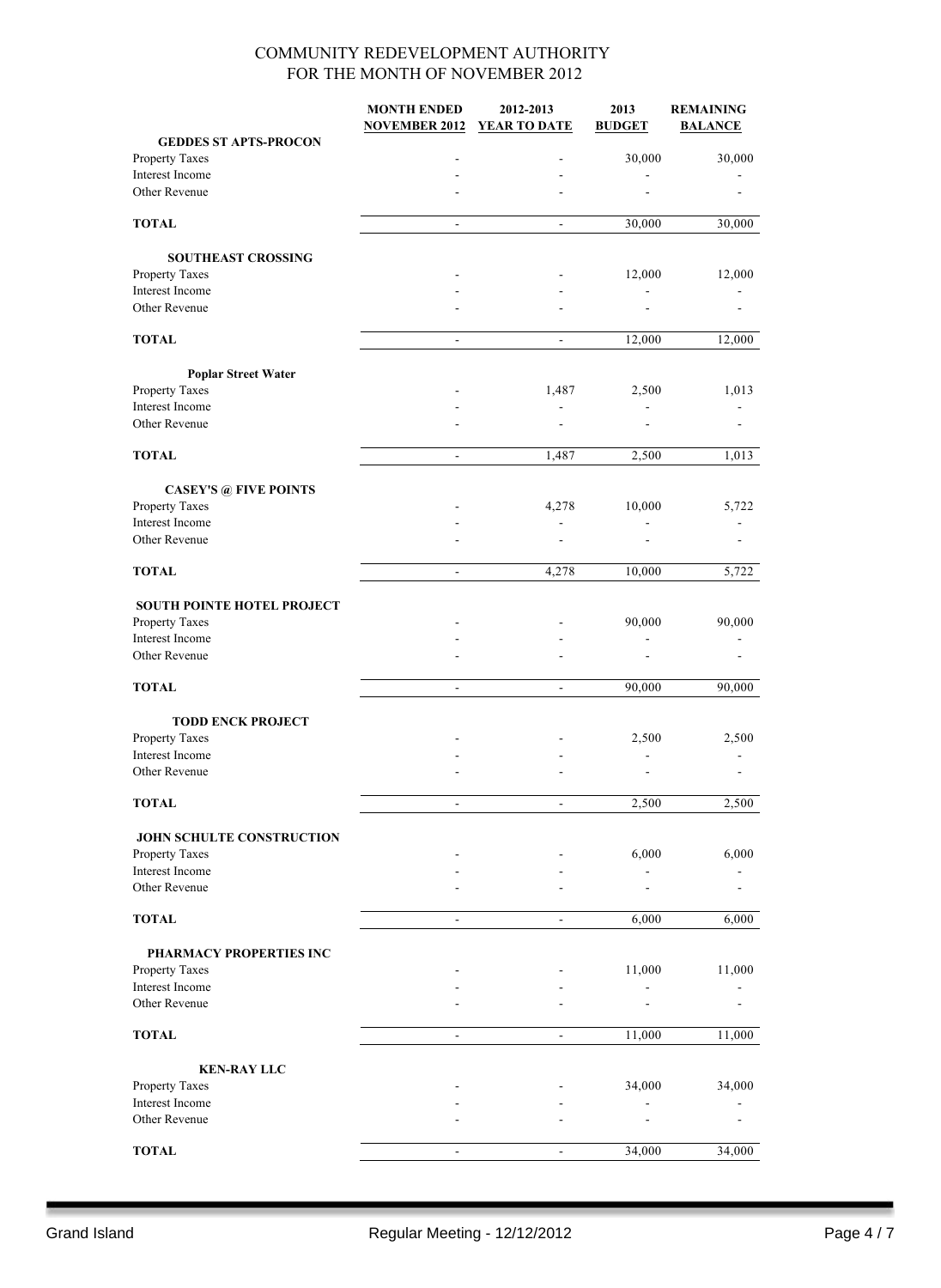|                                              | <b>MONTH ENDED</b>       | 2012-2013                | 2013                     | <b>REMAINING</b> |
|----------------------------------------------|--------------------------|--------------------------|--------------------------|------------------|
|                                              | <b>NOVEMBER 2012</b>     | <b>YEAR TO DATE</b>      | <b>BUDGET</b>            | <b>BALANCE</b>   |
| <b>GEDDES ST APTS-PROCON</b>                 |                          |                          |                          |                  |
| Property Taxes                               |                          |                          | 30,000                   | 30,000           |
| Interest Income                              |                          |                          |                          |                  |
| Other Revenue                                |                          |                          |                          |                  |
| <b>TOTAL</b>                                 | $\blacksquare$           | $\overline{\phantom{a}}$ | 30,000                   | 30,000           |
|                                              |                          |                          |                          |                  |
| <b>SOUTHEAST CROSSING</b>                    |                          |                          |                          |                  |
| Property Taxes                               |                          |                          | 12,000                   | 12,000           |
| Interest Income                              |                          |                          | $\overline{a}$           |                  |
| Other Revenue                                |                          |                          |                          |                  |
|                                              |                          |                          |                          |                  |
| <b>TOTAL</b>                                 | $\frac{1}{2}$            |                          | 12,000                   | 12,000           |
|                                              |                          |                          |                          |                  |
| <b>Poplar Street Water</b><br>Property Taxes |                          | 1,487                    | 2,500                    | 1,013            |
| Interest Income                              |                          |                          |                          |                  |
| Other Revenue                                |                          |                          |                          |                  |
|                                              |                          |                          |                          |                  |
| <b>TOTAL</b>                                 | $\blacksquare$           | 1,487                    | 2,500                    | 1,013            |
|                                              |                          |                          |                          |                  |
| <b>CASEY'S @ FIVE POINTS</b>                 |                          |                          |                          |                  |
| Property Taxes<br>Interest Income            |                          | 4,278                    | 10,000                   | 5,722            |
| Other Revenue                                |                          |                          | $\overline{\phantom{a}}$ |                  |
|                                              |                          |                          |                          |                  |
| <b>TOTAL</b>                                 | $\blacksquare$           | 4,278                    | 10,000                   | 5,722            |
|                                              |                          |                          |                          |                  |
| SOUTH POINTE HOTEL PROJECT                   |                          |                          |                          |                  |
| Property Taxes                               |                          |                          | 90,000                   | 90,000           |
| Interest Income                              |                          |                          |                          |                  |
| Other Revenue                                |                          |                          |                          |                  |
| <b>TOTAL</b>                                 |                          |                          |                          |                  |
|                                              | $\blacksquare$           | $\blacksquare$           | 90,000                   | 90,000           |
| <b>TODD ENCK PROJECT</b>                     |                          |                          |                          |                  |
| Property Taxes                               |                          |                          | 2,500                    | 2,500            |
| Interest Income                              |                          |                          |                          |                  |
| Other Revenue                                |                          |                          |                          |                  |
|                                              |                          |                          |                          |                  |
| <b>TOTAL</b>                                 | $\frac{1}{2}$            | $\overline{\phantom{a}}$ | 2,500                    | 2,500            |
|                                              |                          |                          |                          |                  |
| JOHN SCHULTE CONSTRUCTION                    |                          |                          |                          |                  |
| Property Taxes<br>Interest Income            |                          |                          | 6,000                    | 6,000            |
| Other Revenue                                |                          |                          |                          |                  |
|                                              |                          |                          |                          |                  |
| <b>TOTAL</b>                                 |                          |                          | 6,000                    | 6,000            |
|                                              |                          |                          |                          |                  |
| PHARMACY PROPERTIES INC                      |                          |                          |                          |                  |
| Property Taxes                               |                          |                          | 11,000                   | 11,000           |
| Interest Income                              |                          |                          |                          |                  |
| Other Revenue                                |                          |                          |                          |                  |
| <b>TOTAL</b>                                 | $\overline{\phantom{a}}$ | $\blacksquare$           | 11,000                   | 11,000           |
|                                              |                          |                          |                          |                  |
| <b>KEN-RAY LLC</b>                           |                          |                          |                          |                  |
| Property Taxes                               |                          |                          | 34,000                   | 34,000           |
| Interest Income                              |                          |                          |                          |                  |
| Other Revenue                                |                          |                          |                          |                  |
|                                              |                          |                          |                          |                  |
| <b>TOTAL</b>                                 |                          |                          | 34,000                   | 34,000           |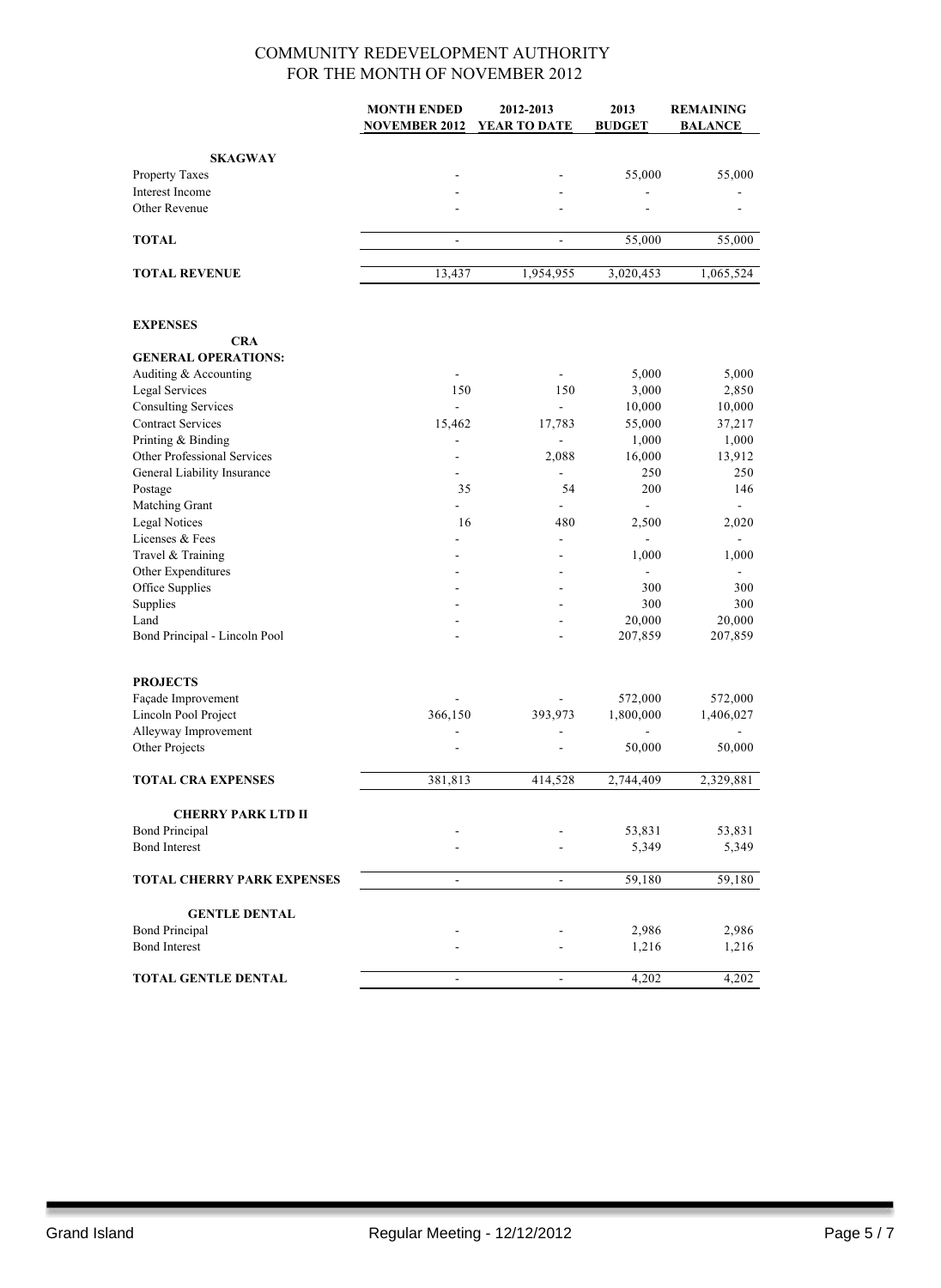|                                       | <b>MONTH ENDED</b>           | 2012-2013                | 2013                     | <b>REMAINING</b>  |
|---------------------------------------|------------------------------|--------------------------|--------------------------|-------------------|
|                                       | <b>NOVEMBER 2012</b>         | YEAR TO DATE             | <b>BUDGET</b>            | <b>BALANCE</b>    |
|                                       |                              |                          |                          |                   |
| <b>SKAGWAY</b>                        |                              |                          |                          |                   |
| Property Taxes                        |                              |                          | 55,000                   | 55,000            |
| Interest Income                       |                              |                          |                          |                   |
| Other Revenue                         |                              | ä,                       | ٠                        |                   |
| TOTAL                                 | ä,                           | $\blacksquare$           | 55,000                   | 55,000            |
|                                       |                              |                          |                          |                   |
| <b>TOTAL REVENUE</b>                  | 13,437                       | 1,954,955                | 3,020,453                | 1,065,524         |
| <b>EXPENSES</b>                       |                              |                          |                          |                   |
| <b>CRA</b>                            |                              |                          |                          |                   |
| <b>GENERAL OPERATIONS:</b>            |                              |                          |                          |                   |
| Auditing & Accounting                 | $\overline{\phantom{a}}$     | $\blacksquare$           | 5,000                    | 5,000             |
| <b>Legal Services</b>                 | 150                          | 150                      | 3,000                    | 2,850             |
| <b>Consulting Services</b>            | ÷.                           | $\overline{a}$           | 10,000                   | 10,000            |
| <b>Contract Services</b>              | 15,462                       | 17,783                   | 55,000                   | 37,217            |
| Printing & Binding                    |                              | $\overline{a}$           | 1,000                    | 1,000             |
| Other Professional Services           | ٠                            | 2,088                    | 16,000                   | 13,912            |
| General Liability Insurance           | $\overline{a}$               | -                        | 250                      | 250               |
| Postage                               | 35                           | 54                       | 200                      | 146               |
| Matching Grant                        |                              |                          | $\frac{1}{2}$            |                   |
| <b>Legal Notices</b>                  | 16                           | 480                      | 2,500                    | 2,020             |
| Licenses & Fees                       |                              | $\overline{a}$           |                          |                   |
| Travel & Training                     |                              |                          | 1,000                    | 1,000             |
| Other Expenditures                    |                              |                          | $\overline{\phantom{a}}$ |                   |
| Office Supplies                       |                              |                          | 300                      | 300               |
| Supplies                              |                              |                          | 300                      | 300               |
| Land<br>Bond Principal - Lincoln Pool |                              |                          | 20,000<br>207,859        | 20,000<br>207,859 |
|                                       |                              |                          |                          |                   |
| <b>PROJECTS</b>                       |                              |                          |                          |                   |
| Façade Improvement                    |                              |                          | 572,000                  | 572,000           |
| Lincoln Pool Project                  | 366,150                      | 393,973                  | 1,800,000                | 1,406,027         |
| Alleyway Improvement                  |                              |                          |                          |                   |
| Other Projects                        |                              |                          | 50,000                   | 50,000            |
| <b>TOTAL CRA EXPENSES</b>             | 381,813                      | 414,528                  | 2,744,409                | 2,329,881         |
| <b>CHERRY PARK LTD II</b>             |                              |                          |                          |                   |
| <b>Bond Principal</b>                 |                              |                          | 53,831                   | 53,831            |
| <b>Bond Interest</b>                  |                              |                          | 5,349                    | 5,349             |
|                                       |                              |                          |                          |                   |
| <b>TOTAL CHERRY PARK EXPENSES</b>     | $\qquad \qquad \blacksquare$ | ۰                        | 59,180                   | 59,180            |
| <b>GENTLE DENTAL</b>                  |                              |                          |                          |                   |
| <b>Bond Principal</b>                 |                              |                          | 2,986                    | 2,986             |
| <b>Bond Interest</b>                  |                              |                          | 1,216                    | 1,216             |
|                                       |                              |                          |                          |                   |
| <b>TOTAL GENTLE DENTAL</b>            | $\overline{a}$               | $\overline{\phantom{a}}$ | 4,202                    | 4,202             |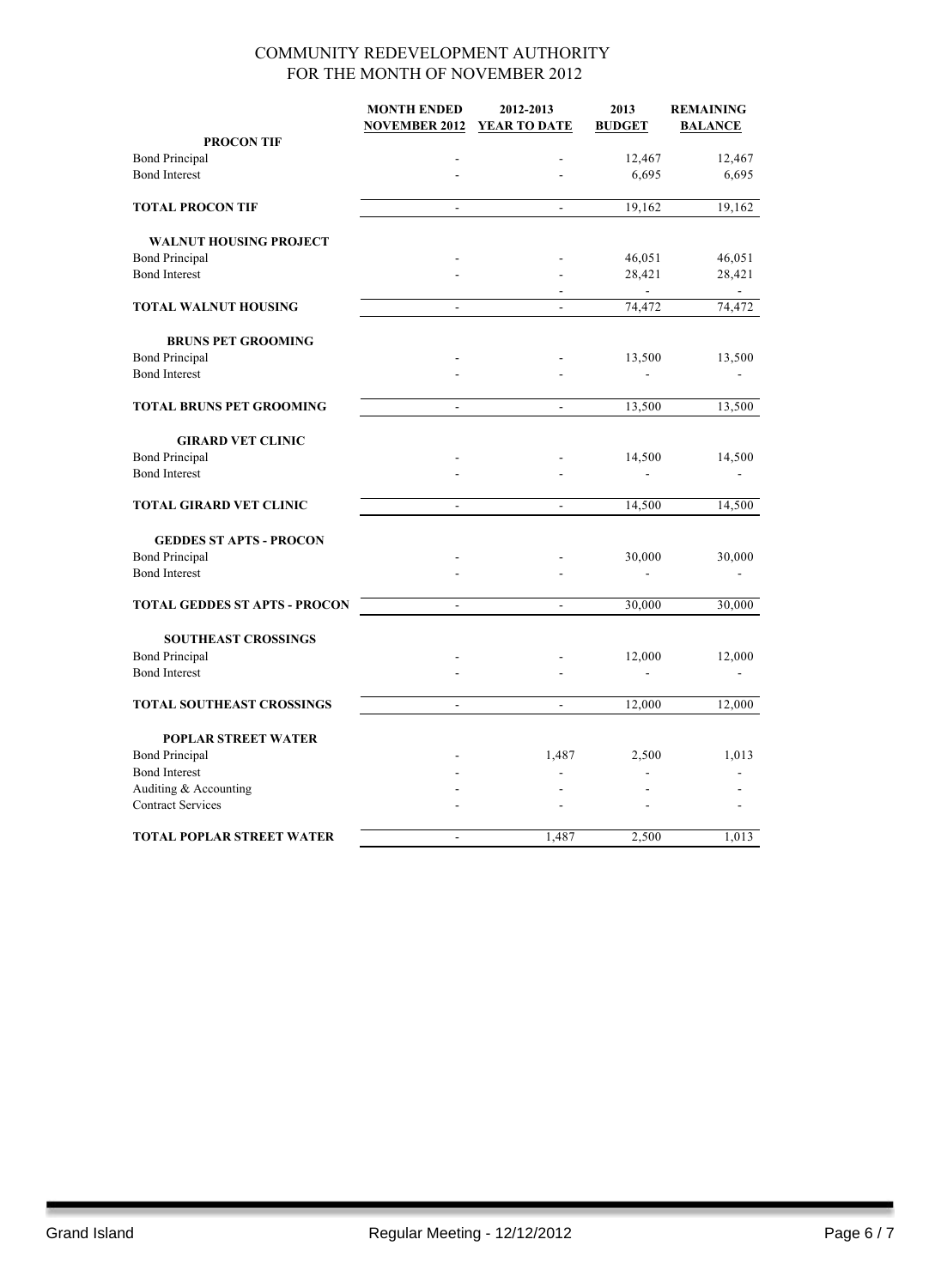|                                      | <b>MONTH ENDED</b><br><b>NOVEMBER 2012</b> | 2012-2013<br>YEAR TO DATE | 2013<br><b>BUDGET</b> | <b>REMAINING</b><br><b>BALANCE</b> |
|--------------------------------------|--------------------------------------------|---------------------------|-----------------------|------------------------------------|
| <b>PROCON TIF</b>                    |                                            |                           |                       |                                    |
| <b>Bond Principal</b>                |                                            |                           | 12,467                | 12,467                             |
| <b>Bond Interest</b>                 |                                            | L,                        | 6,695                 | 6,695                              |
| <b>TOTAL PROCON TIF</b>              |                                            | L.                        | 19,162                | 19,162                             |
| <b>WALNUT HOUSING PROJECT</b>        |                                            |                           |                       |                                    |
| <b>Bond Principal</b>                |                                            |                           | 46,051                | 46,051                             |
| <b>Bond Interest</b>                 | ÷.                                         | ÷.                        | 28,421                | 28,421                             |
| <b>TOTAL WALNUT HOUSING</b>          | ÷,                                         |                           | 74,472                | 74,472                             |
| <b>BRUNS PET GROOMING</b>            |                                            |                           |                       |                                    |
| <b>Bond Principal</b>                |                                            |                           | 13,500                | 13,500                             |
| <b>Bond Interest</b>                 |                                            |                           |                       |                                    |
| <b>TOTAL BRUNS PET GROOMING</b>      | ÷,                                         | $\overline{a}$            | 13,500                | 13,500                             |
| <b>GIRARD VET CLINIC</b>             |                                            |                           |                       |                                    |
| <b>Bond Principal</b>                |                                            |                           | 14,500                | 14,500                             |
| <b>Bond Interest</b>                 |                                            |                           |                       |                                    |
| TOTAL GIRARD VET CLINIC              | $\blacksquare$                             | $\blacksquare$            | 14,500                | 14,500                             |
| <b>GEDDES ST APTS - PROCON</b>       |                                            |                           |                       |                                    |
| <b>Bond Principal</b>                |                                            |                           | 30,000                | 30,000                             |
| <b>Bond Interest</b>                 |                                            |                           |                       |                                    |
| <b>TOTAL GEDDES ST APTS - PROCON</b> | $\blacksquare$                             | $\blacksquare$            | 30,000                | 30,000                             |
| <b>SOUTHEAST CROSSINGS</b>           |                                            |                           |                       |                                    |
| <b>Bond Principal</b>                |                                            |                           | 12,000                | 12,000                             |
| <b>Bond Interest</b>                 |                                            |                           |                       |                                    |
| <b>TOTAL SOUTHEAST CROSSINGS</b>     | $\blacksquare$                             | $\blacksquare$            | 12,000                | 12,000                             |
| <b>POPLAR STREET WATER</b>           |                                            |                           |                       |                                    |
| <b>Bond Principal</b>                |                                            | 1,487                     | 2,500                 | 1,013                              |
| <b>Bond Interest</b>                 |                                            |                           |                       |                                    |
| Auditing & Accounting                |                                            |                           |                       |                                    |
| <b>Contract Services</b>             |                                            |                           |                       |                                    |
| <b>TOTAL POPLAR STREET WATER</b>     | ä,                                         | 1.487                     | 2,500                 | 1,013                              |